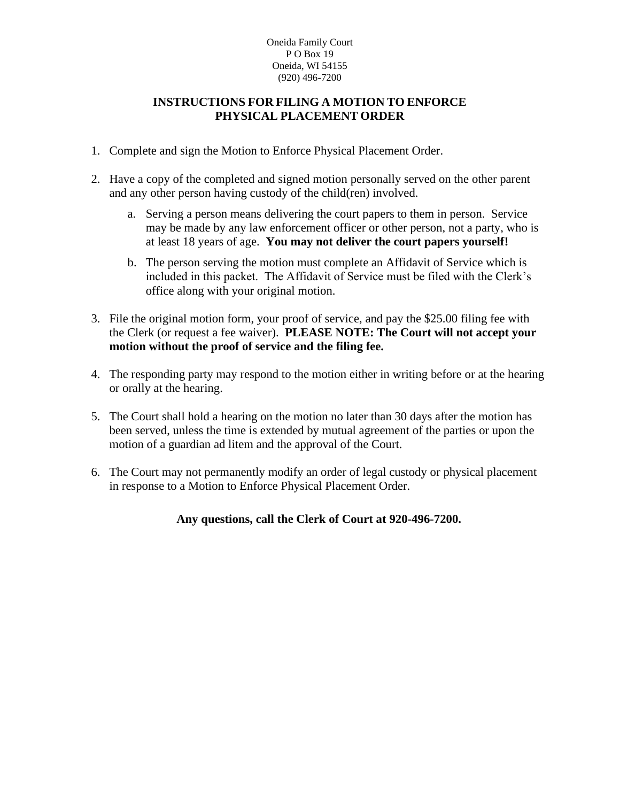#### Oneida Family Court PO Box 19 Oneida, WI 54155 (920) 496-7200

### **INSTRUCTIONS FOR FILING A MOTION TO ENFORCE PHYSICAL PLACEMENT ORDER**

- 1. Complete and sign the Motion to Enforce Physical Placement Order.
- 2. Have a copy of the completed and signed motion personally served on the other parent and any other person having custody of the child(ren) involved.
	- a. Serving a person means delivering the court papers to them in person. Service may be made by any law enforcement officer or other person, not a party, who is at least 18 years of age. **You may not deliver the court papers yourself!**
	- b. The person serving the motion must complete an Affidavit of Service which is included in this packet. The Affidavit of Service must be filed with the Clerk's office along with your original motion.
- 3. File the original motion form, your proof of service, and pay the \$25.00 filing fee with the Clerk (or request a fee waiver). **PLEASE NOTE: The Court will not accept your motion without the proof of service and the filing fee.**
- 4. The responding party may respond to the motion either in writing before or at the hearing or orally at the hearing.
- 5. The Court shall hold a hearing on the motion no later than 30 days after the motion has been served, unless the time is extended by mutual agreement of the parties or upon the motion of a guardian ad litem and the approval of the Court.
- 6. The Court may not permanently modify an order of legal custody or physical placement in response to a Motion to Enforce Physical Placement Order.

## **Any questions, call the Clerk of Court at 920-496-7200.**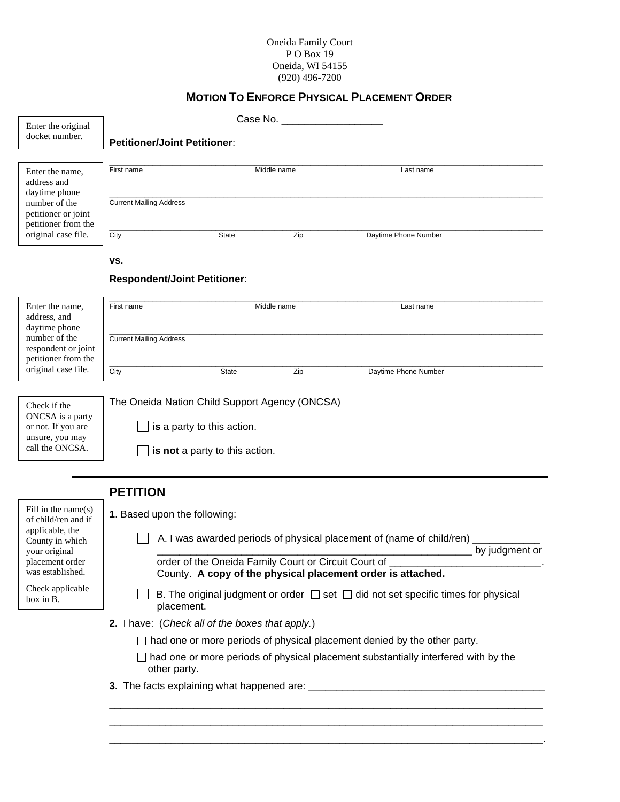#### Oneida Family Court P O Box 19 Oneida, WI 54155 (920) 496-7200

## **MOTION TO ENFORCE PHYSICAL PLACEMENT ORDER**

| Enter the original                                                                                              |                                                                                                                                                                                              | Case No. The case of the case of the case of the case of the case of the case of the case of the case of the case of the case of the case of the case of the case of the case of the case of the case of the case of the case |             |                      |  |
|-----------------------------------------------------------------------------------------------------------------|----------------------------------------------------------------------------------------------------------------------------------------------------------------------------------------------|-------------------------------------------------------------------------------------------------------------------------------------------------------------------------------------------------------------------------------|-------------|----------------------|--|
| docket number.                                                                                                  | <b>Petitioner/Joint Petitioner:</b>                                                                                                                                                          |                                                                                                                                                                                                                               |             |                      |  |
|                                                                                                                 |                                                                                                                                                                                              |                                                                                                                                                                                                                               |             |                      |  |
| Enter the name,<br>address and<br>daytime phone<br>number of the<br>petitioner or joint<br>petitioner from the  | First name                                                                                                                                                                                   |                                                                                                                                                                                                                               | Middle name | Last name            |  |
|                                                                                                                 | <b>Current Mailing Address</b>                                                                                                                                                               |                                                                                                                                                                                                                               |             |                      |  |
| original case file.                                                                                             | City                                                                                                                                                                                         | State                                                                                                                                                                                                                         | Zip         | Daytime Phone Number |  |
|                                                                                                                 | VS.                                                                                                                                                                                          |                                                                                                                                                                                                                               |             |                      |  |
|                                                                                                                 | <b>Respondent/Joint Petitioner:</b>                                                                                                                                                          |                                                                                                                                                                                                                               |             |                      |  |
| Enter the name,<br>address, and<br>daytime phone<br>number of the<br>respondent or joint<br>petitioner from the | First name                                                                                                                                                                                   | Middle name                                                                                                                                                                                                                   |             | Last name            |  |
|                                                                                                                 | <b>Current Mailing Address</b>                                                                                                                                                               |                                                                                                                                                                                                                               |             |                      |  |
| original case file.                                                                                             | City                                                                                                                                                                                         | State                                                                                                                                                                                                                         | Zip         | Daytime Phone Number |  |
| Check if the<br>ONCSA is a party<br>or not. If you are<br>unsure, you may<br>call the ONCSA.                    | The Oneida Nation Child Support Agency (ONCSA)<br>is a party to this action.<br>is not a party to this action.                                                                               |                                                                                                                                                                                                                               |             |                      |  |
|                                                                                                                 | <b>PETITION</b>                                                                                                                                                                              |                                                                                                                                                                                                                               |             |                      |  |
| Fill in the name $(s)$                                                                                          | 1. Based upon the following:                                                                                                                                                                 |                                                                                                                                                                                                                               |             |                      |  |
| of child/ren and if<br>applicable, the<br>County in which<br>your original                                      | A. I was awarded periods of physical placement of (name of child/ren)<br>by judgment or                                                                                                      |                                                                                                                                                                                                                               |             |                      |  |
| placement order<br>was established.                                                                             | order of the Oneida Family Court or Circuit Court of<br>County. A copy of the physical placement order is attached.                                                                          |                                                                                                                                                                                                                               |             |                      |  |
| Check applicable<br>box in B.                                                                                   | B. The original judgment or order $\Box$ set $\Box$ did not set specific times for physical<br>placement.                                                                                    |                                                                                                                                                                                                                               |             |                      |  |
|                                                                                                                 | 2. I have: (Check all of the boxes that apply.)                                                                                                                                              |                                                                                                                                                                                                                               |             |                      |  |
|                                                                                                                 | $\Box$ had one or more periods of physical placement denied by the other party.<br>$\Box$ had one or more periods of physical placement substantially interfered with by the<br>other party. |                                                                                                                                                                                                                               |             |                      |  |
|                                                                                                                 |                                                                                                                                                                                              |                                                                                                                                                                                                                               |             |                      |  |
|                                                                                                                 |                                                                                                                                                                                              |                                                                                                                                                                                                                               |             |                      |  |

\_\_\_\_\_\_\_\_\_\_\_\_\_\_\_\_\_\_\_\_\_\_\_\_\_\_\_\_\_\_\_\_\_\_\_\_\_\_\_\_\_\_\_\_\_\_\_\_\_\_\_\_\_\_\_\_\_\_\_\_\_\_\_\_\_\_\_\_\_\_\_\_\_\_\_\_\_ \_\_\_\_\_\_\_\_\_\_\_\_\_\_\_\_\_\_\_\_\_\_\_\_\_\_\_\_\_\_\_\_\_\_\_\_\_\_\_\_\_\_\_\_\_\_\_\_\_\_\_\_\_\_\_\_\_\_\_\_\_\_\_\_\_\_\_\_\_\_\_\_\_\_\_\_\_.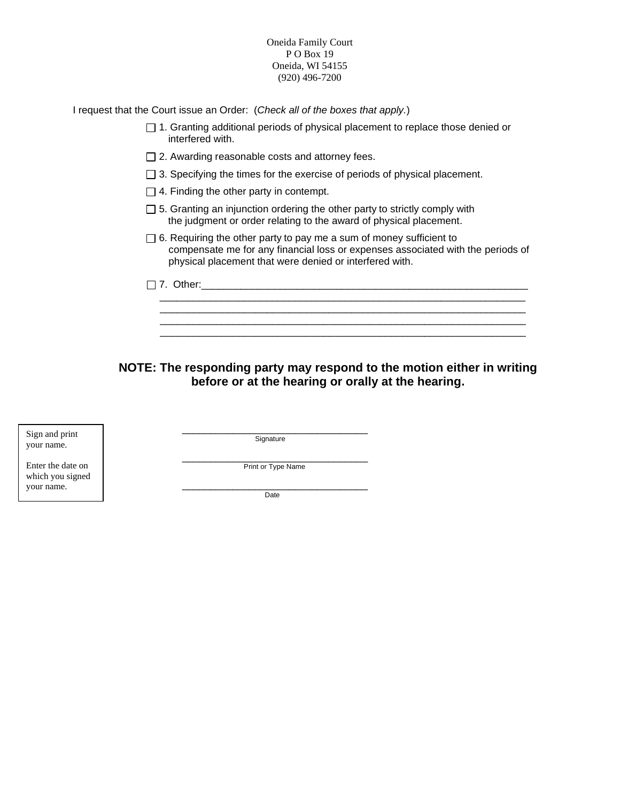Oneida Family Court P O Box 19 Oneida, WI 54155 (920) 496-7200

I request that the Court issue an Order: (*Check all of the boxes that apply.*)

- $\Box$  1. Granting additional periods of physical placement to replace those denied or interfered with.
- $\Box$  2. Awarding reasonable costs and attorney fees.
- □ 3. Specifying the times for the exercise of periods of physical placement.
- $\Box$  4. Finding the other party in contempt.
- $\Box$  5. Granting an injunction ordering the other party to strictly comply with the judgment or order relating to the award of physical placement.
- $\Box$  6. Requiring the other party to pay me a sum of money sufficient to compensate me for any financial loss or expenses associated with the periods of physical placement that were denied or interfered with.

 7. Other:\_\_\_\_\_\_\_\_\_\_\_\_\_\_\_\_\_\_\_\_\_\_\_\_\_\_\_\_\_\_\_\_\_\_\_\_\_\_\_\_\_\_\_\_\_\_\_\_\_\_\_\_\_\_\_\_\_\_ \_\_\_\_\_\_\_\_\_\_\_\_\_\_\_\_\_\_\_\_\_\_\_\_\_\_\_\_\_\_\_\_\_\_\_\_\_\_\_\_\_\_\_\_\_\_\_\_\_\_\_\_\_\_\_\_\_\_\_\_\_\_\_\_\_  $\overline{\phantom{a}}$  ,  $\overline{\phantom{a}}$  ,  $\overline{\phantom{a}}$  ,  $\overline{\phantom{a}}$  ,  $\overline{\phantom{a}}$  ,  $\overline{\phantom{a}}$  ,  $\overline{\phantom{a}}$  ,  $\overline{\phantom{a}}$  ,  $\overline{\phantom{a}}$  ,  $\overline{\phantom{a}}$  ,  $\overline{\phantom{a}}$  ,  $\overline{\phantom{a}}$  ,  $\overline{\phantom{a}}$  ,  $\overline{\phantom{a}}$  ,  $\overline{\phantom{a}}$  ,  $\overline{\phantom{a}}$  \_\_\_\_\_\_\_\_\_\_\_\_\_\_\_\_\_\_\_\_\_\_\_\_\_\_\_\_\_\_\_\_\_\_\_\_\_\_\_\_\_\_\_\_\_\_\_\_\_\_\_\_\_\_\_\_\_\_\_\_\_\_\_\_\_ \_\_\_\_\_\_\_\_\_\_\_\_\_\_\_\_\_\_\_\_\_\_\_\_\_\_\_\_\_\_\_\_\_\_\_\_\_\_\_\_\_\_\_\_\_\_\_\_\_\_\_\_\_\_\_\_\_\_\_\_\_\_\_\_\_

**NOTE: The responding party may respond to the motion either in writing before or at the hearing or orally at the hearing.**

Sign and print your name.

Enter the date on which you signed your name.

\_\_\_\_\_\_\_\_\_\_\_\_\_\_\_\_\_\_\_\_\_\_\_\_\_\_\_\_\_\_\_\_\_ **Signature** 

\_\_\_\_\_\_\_\_\_\_\_\_\_\_\_\_\_\_\_\_\_\_\_\_\_\_\_\_\_\_\_\_\_ Print or Type Name

\_\_\_\_\_\_\_\_\_\_\_\_\_\_\_\_\_\_\_\_\_\_\_\_\_\_\_\_\_\_\_\_\_ Date